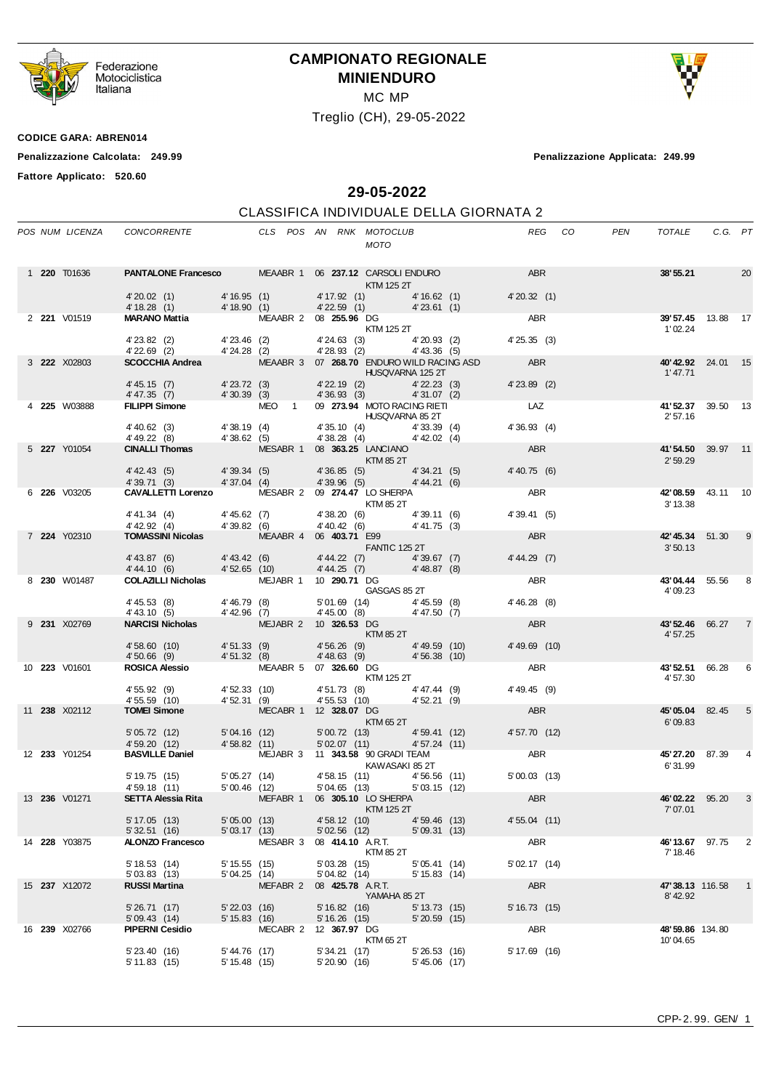

Federazione<br>Motociclistica<br>Italiana

## **CAMPIONATO REGIONALE MINIENDURO**

MC MP

Treglio (CH), 29-05-2022



**CODICE GARA: ABREN014**

**Penalizzazione Calcolata: 249.99 Penalizzazione Applicata: 249.99**

**Fattore Applicato: 520.60**

**29-05-2022**

## CLASSIFICA INDIVIDUALE DELLA GIORNATA 2

|  | POS NUM LICENZA                                                                         |                                                                                                                                                                                                                                                |                                    |                       |                                      | <b>MOTO</b>                                                                                                                                                                                                              |                                | REG CO         | PEN       | TOTALE                            | C.G. PT |                |
|--|-----------------------------------------------------------------------------------------|------------------------------------------------------------------------------------------------------------------------------------------------------------------------------------------------------------------------------------------------|------------------------------------|-----------------------|--------------------------------------|--------------------------------------------------------------------------------------------------------------------------------------------------------------------------------------------------------------------------|--------------------------------|----------------|-----------|-----------------------------------|---------|----------------|
|  | <b>PANTALONE Francesco MEAABR 1 06 237.12 CARSOLI ENDURO ABR</b><br>1 <b>220</b> T01636 |                                                                                                                                                                                                                                                |                                    |                       | <b>Example 125 2T</b>                |                                                                                                                                                                                                                          |                                |                | 38' 55.21 |                                   | 20      |                |
|  |                                                                                         | 4' 20.02 (1) 4' 16.95 (1) 4' 17.92 (1) 4' 16.62 (1) 4' 20.32 (1)<br>4' 18.28 (1) 4' 18.90 (1) 4' 22.59 (1) 4' 23.61 (1) 4' 23.61 (1)<br>MARANO Mattia MEAABR 2 08 255.96 DG KTM 125 2T                                                         |                                    |                       |                                      |                                                                                                                                                                                                                          |                                |                |           |                                   |         |                |
|  | 2 221 V01519                                                                            |                                                                                                                                                                                                                                                |                                    |                       |                                      |                                                                                                                                                                                                                          |                                |                |           | 39'57.45 13.88 17<br>1'02.24      |         |                |
|  |                                                                                         | 4'23.82 (2) 4'23.46 (2) 4'24.63 (3) 4'20.93 (2) 4'25.35 (3)<br>4'22.69 (2) 4'24.28 (2) 4'28.93 (2) 4'43.36 (5)<br><b>SCOCCHIA Andrea</b> MEAABR 3 07 <b>268.70</b> ENDURO WILD RACING ASD ABR                                                  |                                    |                       |                                      |                                                                                                                                                                                                                          |                                |                |           |                                   |         |                |
|  | 3 222 X02803                                                                            |                                                                                                                                                                                                                                                |                                    |                       | <b>Example 2018 HUSQVARNA 125 2T</b> |                                                                                                                                                                                                                          |                                |                |           | 40'42.92 24.01 15<br>1' 47.71     |         |                |
|  |                                                                                         | 4'45.15 (7) $4'23.72$ (3) $4'22.19$ (2) $4'22.23$ (3) $4'23.89$ (2)<br>4'47.35 (7) $4'30.39$ (3) $4'36.93$ (3) $4'31.07$ (2)                                                                                                                   |                                    |                       |                                      |                                                                                                                                                                                                                          |                                |                |           |                                   |         |                |
|  | 4 225 W03888                                                                            | FILIPPI Simone MEO 1 09 273.94 MOTO RACING RIETI LAZ                                                                                                                                                                                           |                                    |                       |                                      |                                                                                                                                                                                                                          |                                | 4'36.93(4)     |           | 41'52.37 39.50 13<br>2' 57.16     |         |                |
|  |                                                                                         |                                                                                                                                                                                                                                                |                                    |                       |                                      |                                                                                                                                                                                                                          |                                |                |           |                                   |         |                |
|  | 5 227 Y01054                                                                            | 4'40.62 (3)<br>4'38.19 (4)<br>4'38.62 (5)<br>4'38.62 (5)<br>4'38.62 (5)<br>4'38.62 (5)<br>4'38.25 LANCIANO<br>MESABR 1 08 363.25 LANCIANO<br>KTM 85 2T<br>4'42.02 (4)<br>4'42.02 (4)                                                           |                                    |                       |                                      |                                                                                                                                                                                                                          |                                | <b>ABR</b>     |           | 41'54.50 39.97 11<br>2'59.29      |         |                |
|  |                                                                                         | 4'42.43 (5) $4'39.34$ (5) $4'36.85$ (5) $4'34.21$ (5) $4'40.75$ (6)                                                                                                                                                                            |                                    |                       |                                      |                                                                                                                                                                                                                          |                                |                |           |                                   |         |                |
|  | 6 226 V03205                                                                            | 4' 42.43 (5) 4' 39.34 (5) 4 30.60 (5) 4' 39.71 (3) 4' 37.04 (4) 4' 39.96 (5) 4' 44.21 (6) 4' 44.21 (6) 4' 44.21 (6) 4' 44.21 (6) 4' 44.21 (6) 4' 44.21 (6) 4' 44.21 (6) 4' 44.21 (6) 4' 44.21 (6) 4' 44.21 (6) 4' 44.21 (6) 4'                 |                                    |                       |                                      | <b>KTM 85 2T</b>                                                                                                                                                                                                         |                                | ABR            |           | 42'08.59 43.11 10<br>3' 13.38     |         |                |
|  |                                                                                         |                                                                                                                                                                                                                                                |                                    |                       |                                      |                                                                                                                                                                                                                          |                                | 4' 39.41 (5)   |           |                                   |         |                |
|  | 7 224 Y02310                                                                            | 4'41.34 (4) $4'45.62$ (7) $4'38.20$ (6) $4'39.11$ (6)<br>4'42.92 (4) $4'39.82$ (6) $4'40.42$ (6) $4'41.75$ (3)<br><b>TOMASSINI Nicolas</b> MEAABR 4 06 <b>403.71</b> E99<br>FANTIC 125 2T<br>4'43.87 (6) $4'43.42$ (6) $4'44.22$ (7) $4'39.67$ |                                    |                       |                                      |                                                                                                                                                                                                                          |                                | <b>ABR</b>     |           | 42'45.34 51.30 9<br>3'50.13       |         |                |
|  |                                                                                         |                                                                                                                                                                                                                                                |                                    |                       |                                      |                                                                                                                                                                                                                          |                                | 4'44.29(7)     |           |                                   |         |                |
|  | 8 230 W01487                                                                            | COLAZILLI Nicholas MEJABR 1 10 290.71 DG                                                                                                                                                                                                       |                                    |                       |                                      | $\begin{array}{ll}\n\circ & \mathbf{L} & \mathbf{L} & \mathbf{L} \\ \hline\n\vdots & \mathbf{L} & \mathbf{L} \\ \hline\n\vdots & \mathbf{L} & \mathbf{L} \\ \mathbf{L} & \mathbf{L} & \mathbf{L} \\ \hline\n\end{array}$ |                                | ABR            |           | 43'04.44 55.56 8<br>4'09.23       |         |                |
|  |                                                                                         |                                                                                                                                                                                                                                                |                                    |                       |                                      |                                                                                                                                                                                                                          |                                |                |           |                                   |         |                |
|  | 9 231 X02769                                                                            | 4'45.53 (8) $4'46.79$ (8) $5'01.69$ (14) $4'45.59$ (8) $4'46.28$ (8)<br>4'43.10 (5) $4'42.96$ (7) $4'45.00$ (8) $4'47.50$ (7)<br><b>NARCISI Nicholas</b> MEJABR 2 10 326.53 DG                                                                 |                                    |                       |                                      | KTM 85 2T                                                                                                                                                                                                                |                                |                |           | 43'52.46 66.27<br>4'57.25         |         | $\overline{7}$ |
|  |                                                                                         | 4'58.60 (10) 4'51.33 (9) 4'56.26 (9) 4'49.59 (10)<br>4'50.66 (9) 4'51.32 (8) 4'48.63 (9) 4'56.38 (10)<br><b>ROSICA Alessio</b> MEAABR 5 07 326.60 DG                                                                                           |                                    |                       |                                      |                                                                                                                                                                                                                          |                                | 4' 49.69 (10)  |           |                                   |         |                |
|  | 10 223 V01601                                                                           |                                                                                                                                                                                                                                                |                                    |                       |                                      | <b>KTM 125 2T</b>                                                                                                                                                                                                        |                                | ABR            |           | <b>43' 52.51</b> 66.28<br>4'57.30 |         | 6              |
|  |                                                                                         | 4'55.92 (9) $4'52.33$ (10) $4'51.73$ (8) $4'47.44$ (9)<br>4'55.59 (10) $4'52.31$ (9) $4'55.53$ (10) $4'52.21$ (9)<br><b>TOMEI Simone</b> MECABR 1 12 <b>328.07</b> DG                                                                          |                                    |                       | 4' 51.73 (8) 4' 47.44 (9)            |                                                                                                                                                                                                                          |                                | 4' 49.45 (9)   |           |                                   |         |                |
|  | 11 238 X02112                                                                           |                                                                                                                                                                                                                                                |                                    |                       |                                      | <b>Example 25 KTM 65 2T</b>                                                                                                                                                                                              |                                | <b>ABR</b>     |           | <b>45' 05.04</b> 82.45<br>6'09.83 |         | 5              |
|  |                                                                                         | 5' 05.72 (12) 5' 04.16 (12) 5' 00.72 (13) 4' 59.41 (12) 4' 59.20 (12) 4' 58.82 (11) 5' 02.07 (11) 4' 57.24 (11)                                                                                                                                |                                    |                       |                                      |                                                                                                                                                                                                                          |                                | 4'57.70 (12)   |           |                                   |         |                |
|  | 12 233 Y01254                                                                           | BASVILLE Daniel MEJABR 3 11 343.58 90 GRADI TEAM<br>KAWASAKI 85 2T                                                                                                                                                                             |                                    |                       |                                      |                                                                                                                                                                                                                          |                                | ABR            |           | <b>45'27.20</b> 87.39<br>6'31.99  |         |                |
|  |                                                                                         | 5'19.75 (15) 5'05.27 (14) 4'58.15 (11) 4'56.56 (11)<br>4'59.18 (11) 5'00.46 (12) 5'04.65 (13) 5'03.15 (12)<br><b>SETTA Alessia Rita</b> MEFABR 1 06 <b>305.10</b> LO SHERPA                                                                    |                                    |                       |                                      |                                                                                                                                                                                                                          |                                | $5'00.03$ (13) |           |                                   |         |                |
|  | 13 236 V01271                                                                           |                                                                                                                                                                                                                                                |                                    |                       |                                      | KTM 125 2T                                                                                                                                                                                                               |                                | <b>ABR</b>     |           | 46'02.22 95.20<br>7'07.01         |         | 3              |
|  |                                                                                         | 5' 17.05 (13)                                                                                                                                                                                                                                  | 5'05.00(13)                        |                       |                                      | 4'58.12 (10) 4'59.46 (13)                                                                                                                                                                                                |                                | 4' 55.04 (11)  |           |                                   |         |                |
|  | 14 228 Y03875                                                                           | 5' 32.51 (16)<br>ALONZO Francesco                                                                                                                                                                                                              | 5'03.17(13)                        | MESABR 3              | 08 414.10 A.R.T.                     | 5'02.56(12)<br>KTM 85 2T                                                                                                                                                                                                 | 5'09.31(13)                    | ABR            |           | 46'13.67 97.75<br>7' 18.46        |         | 2              |
|  |                                                                                         | 5'18.53(14)<br>5'03.83(13)                                                                                                                                                                                                                     | $5' 15.55$ (15)<br>5' 04.25 (14)   |                       | 5'03.28(15)<br>5' 04.82 (14)         |                                                                                                                                                                                                                          | 5'05.41(14)<br>$5' 15.83$ (14) | 5'02.17(14)    |           |                                   |         |                |
|  | 15 237 X12072                                                                           | <b>RUSSI Martina</b>                                                                                                                                                                                                                           |                                    | MEFABR 2              | 08 425.78 A.R.T.                     | YAMAHA 85 2T                                                                                                                                                                                                             |                                | ABR            |           | 47'38.13 116.58<br>8'42.92        |         | $\mathbf{1}$   |
|  |                                                                                         | 5'26.71(17)<br>5'09.43(14)                                                                                                                                                                                                                     | $5'$ 22.03 (16)<br>$5' 15.83$ (16) |                       | 5'16.82(16)                          | 5'16.26(15)                                                                                                                                                                                                              | $5' 13.73$ (15)<br>5'20.59(15) | 5'16.73(15)    |           |                                   |         |                |
|  | 16 239 X02766                                                                           | <b>PIPERNI Cesidio</b>                                                                                                                                                                                                                         |                                    | MECABR 2 12 367.97 DG |                                      | KTM 65 2T                                                                                                                                                                                                                |                                | ABR            |           | 48'59.86 134.80<br>10'04.65       |         |                |
|  |                                                                                         | $5'$ 23.40 $(16)$<br>5'11.83(15)                                                                                                                                                                                                               | 5' 44.76 (17)<br>$5' 15.48$ (15)   |                       | 5' 34.21 (17)<br>5'20.90(16)         |                                                                                                                                                                                                                          | 5'26.53(16)<br>$5'45.06$ (17)  | $5'17.69$ (16) |           |                                   |         |                |